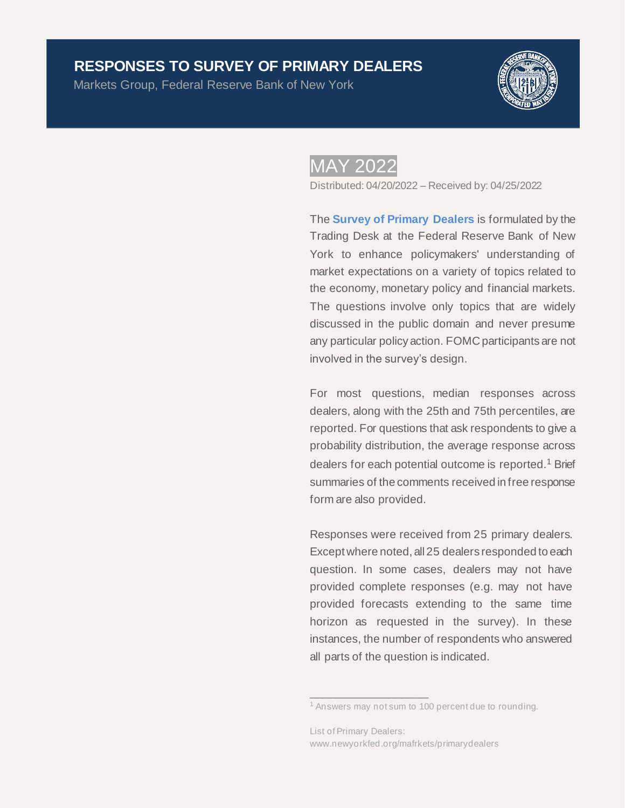# **RESPONSES TO SURVEY OF PRIMARY DEALERS**<br>Markets Group, Federal Reserve Bank of New York

Markets Group, Federal Reserve Bank of New York



# MAY 2022

Distributed: 04/20/2022 – Received by: 04/25/2022

The **[Survey of Primary Dealers](https://www.newyorkfed.org/markets/primarydealer_survey_questions.html)** is formulated by the Trading Desk at the Federal Reserve Bank of New York to enhance policymakers' understanding of market expectations on a variety of topics related to the economy, monetary policy and financial markets. The questions involve only topics that are widely discussed in the public domain and never presume any particular policy action. FOMC participants are not involved in the survey's design.

For most questions, median responses across dealers, along with the 25th and 75th percentiles, are reported. For questions that ask respondents to give a probability distribution, the average response across dealers for each potential outcome is reported.<sup>1</sup> Brief summaries of the comments received in free response form are also provided.

Responses were received from 25 primary dealers. Except where noted, all 25 dealers responded to each question. In some cases, dealers may not have provided complete responses (e.g. may not have provided forecasts extending to the same time horizon as requested in the survey). In these instances, the number of respondents who answered all parts of the question is indicated.

 $\_$ 

<sup>&</sup>lt;sup>1</sup> Answers may not sum to 100 percent due to rounding.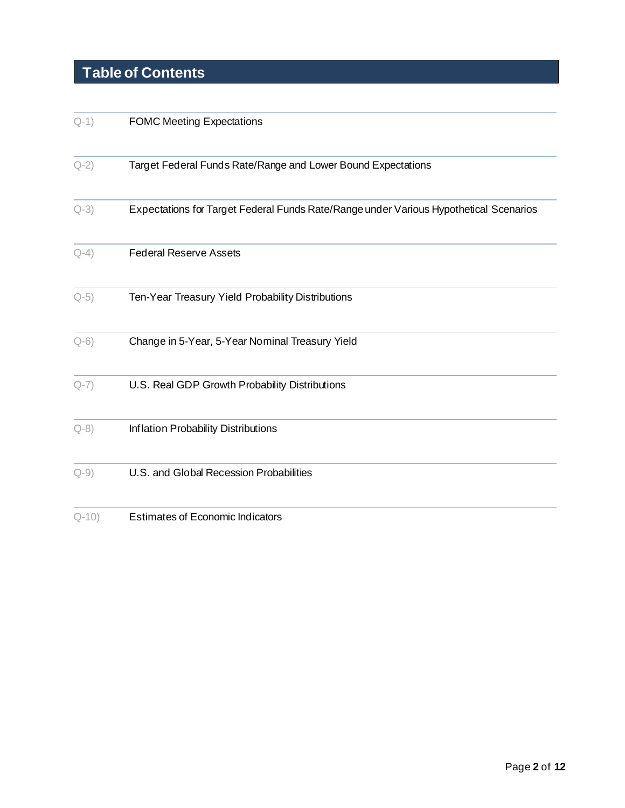# **Table of Contents**

| $Q-1)$    | <b>FOMC Meeting Expectations</b>                                                      |
|-----------|---------------------------------------------------------------------------------------|
| $Q-2)$    | Target Federal Funds Rate/Range and Lower Bound Expectations                          |
| $Q-3)$    | Expectations for Target Federal Funds Rate/Range under Various Hypothetical Scenarios |
| $Q-4)$    | <b>Federal Reserve Assets</b>                                                         |
| $Q-5)$    | Ten-Year Treasury Yield Probability Distributions                                     |
| $Q-6$     | Change in 5-Year, 5-Year Nominal Treasury Yield                                       |
| $Q-7)$    | U.S. Real GDP Growth Probability Distributions                                        |
| $Q - 8$ ) | Inflation Probability Distributions                                                   |
| $Q-9)$    | U.S. and Global Recession Probabilities                                               |
| $Q-10$    | <b>Estimates of Economic Indicators</b>                                               |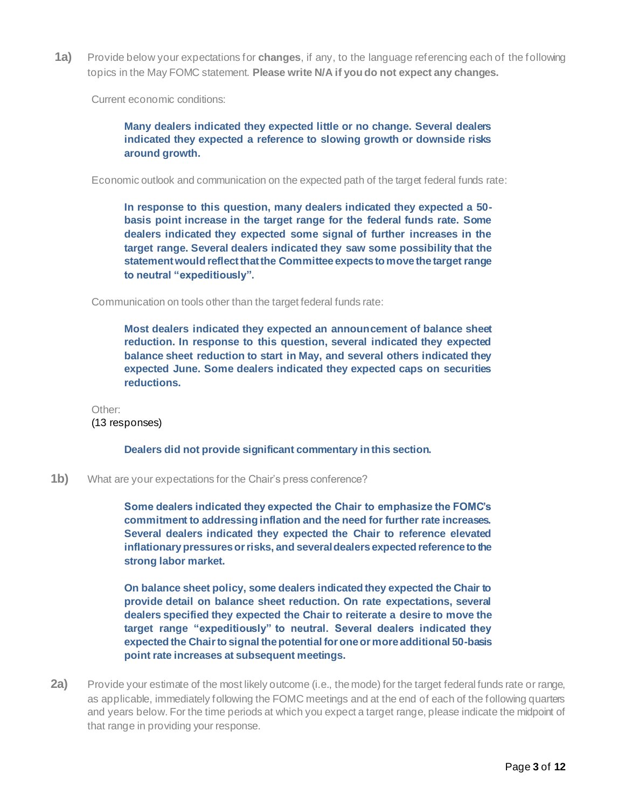<span id="page-2-0"></span>**1a)** Provide below your expectations for **changes**, if any, to the language referencing each of the following topics in the May FOMC statement. **Please write N/A if you do not expect any changes.**

Current economic conditions:

### **Many dealers indicated they expected little or no change. Several dealers indicated they expected a reference to slowing growth or downside risks around growth.**

Economic outlook and communication on the expected path of the target federal funds rate:

**In response to this question, many dealers indicated they expected a 50 basis point increase in the target range for the federal funds rate. Some dealers indicated they expected some signal of further increases in the target range. Several dealers indicated they saw some possibility that the statement would reflect that the Committee expects to move the target range to neutral "expeditiously".**

Communication on tools other than the target federal funds rate:

**Most dealers indicated they expected an announcement of balance sheet reduction. In response to this question, several indicated they expected balance sheet reduction to start in May, and several others indicated they expected June. Some dealers indicated they expected caps on securities reductions.** 

Other: (13 responses)

**Dealers did not provide significant commentary in this section.**

**1b)** What are your expectations for the Chair's press conference?

**Some dealers indicated they expected the Chair to emphasize the FOMC's commitment to addressing inflation and the need for further rate increases. Several dealers indicated they expected the Chair to reference elevated inflationary pressures or risks, and several dealers expected reference to the strong labor market.** 

**On balance sheet policy, some dealers indicated they expected the Chair to provide detail on balance sheet reduction. On rate expectations, several dealers specified they expected the Chair to reiterate a desire to move the target range "expeditiously" to neutral. Several dealers indicated they expected the Chair to signal the potential for one or more additional 50-basis point rate increases at subsequent meetings.** 

<span id="page-2-1"></span>**2a)** Provide your estimate of the most likely outcome (i.e., the mode) for the target federal funds rate or range, as applicable, immediately following the FOMC meetings and at the end of each of the following quarters and years below. For the time periods at which you expect a target range, please indicate the midpoint of that range in providing your response.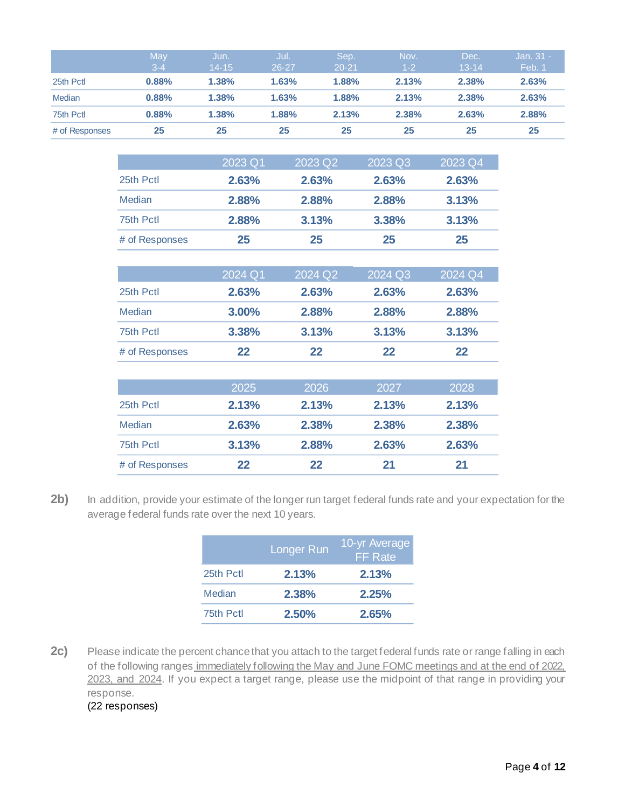|                | May<br>$3 - 4$ | Jun.<br>$14 - 15$ | Jul.<br>$26 - 27$ | Sep.<br>$20 - 21$ | Nov.<br>$1-2$ | Dec.<br>$13 - 14$ | Jan. $31 -$<br>Feb. 1 |
|----------------|----------------|-------------------|-------------------|-------------------|---------------|-------------------|-----------------------|
| 25th Pctl      | 0.88%          | 1.38%             | 1.63%             | 1.88%             | 2.13%         | 2.38%             | 2.63%                 |
| Median         | 0.88%          | 1.38%             | 1.63%             | 1.88%             | 2.13%         | 2.38%             | 2.63%                 |
| 75th Pctl      | 0.88%          | 1.38%             | 1.88%             | 2.13%             | 2.38%         | 2.63%             | 2.88%                 |
| # of Responses | 25             | 25                | 25                | 25                | 25            | 25                | 25                    |

|                | $\sqrt{2023}$ Q1 | 2023 Q2 | $\sqrt{2023}$ Q3 | 2023 Q4 |
|----------------|------------------|---------|------------------|---------|
| 25th Pctl      | 2.63%            | 2.63%   | 2.63%            | 2.63%   |
| <b>Median</b>  | 2.88%            | 2.88%   | 2.88%            | 3.13%   |
| 75th Pctl      | 2.88%            | 3.13%   | 3.38%            | 3.13%   |
| # of Responses | 25               | 25      | 25               | 25      |
|                |                  |         |                  |         |
|                | 2024 Q1          | 2024 Q2 | 2024 Q3          | 2024 Q4 |
| 25th Pctl      | 2.63%            | 2.63%   | 2.63%            | 2.63%   |
| <b>Median</b>  | 3.00%            | 2.88%   | 2.88%            | 2.88%   |
| 75th Pctl      | 3.38%            | 3.13%   | 3.13%            | 3.13%   |
| # of Responses | 22               | 22      | 22               | 22      |
|                |                  |         |                  |         |
|                | 2025             | 2026    | 2027             | 2028    |

|                | 2025    | 2026  | 2027  | 2028  |
|----------------|---------|-------|-------|-------|
| 25th Pctl      | 2.13%   | 2.13% | 2.13% | 2.13% |
| <b>Median</b>  | 2.63%   | 2.38% | 2.38% | 2.38% |
| 75th Pctl      | 3.13%   | 2.88% | 2.63% | 2.63% |
| # of Responses | $22 \,$ | 22    | 21    | 21    |

2b) In addition, provide your estimate of the longer run target federal funds rate and your expectation for the average federal funds rate over the next 10 years.

|           | Longer Run | 10-yr Average<br><b>FF</b> Rate |
|-----------|------------|---------------------------------|
| 25th Pctl | 2.13%      | 2.13%                           |
| Median    | 2.38%      | 2.25%                           |
| 75th Pctl | 2.50%      | 2.65%                           |

2c) Please indicate the percent chance that you attach to the target federal funds rate or range falling in each of the following ranges immediately following the May and June FOMC meetings and at the end of 2022. 2023, and 2024. If you expect a target range, please use the midpoint of that range in providing your response. (22 responses)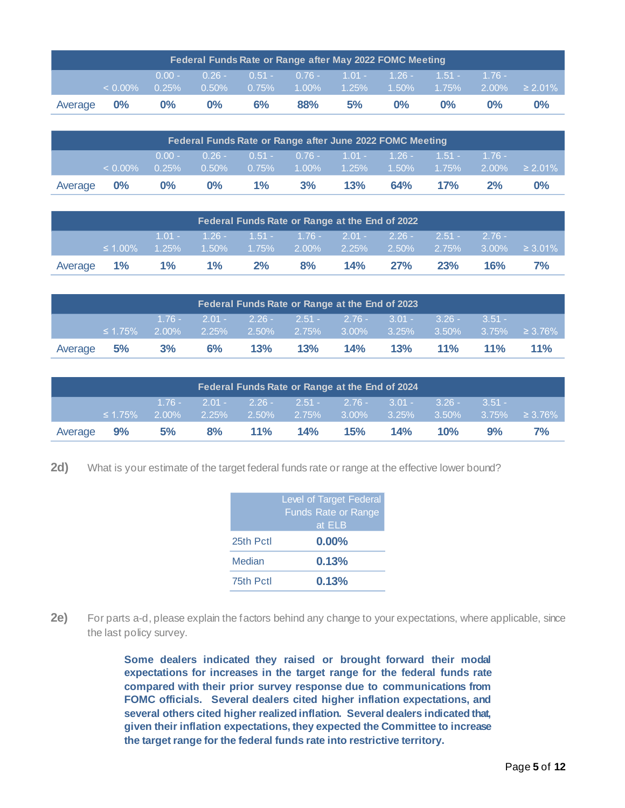| Federal Funds Rate or Range after May 2022 FOMC Meeting |            |                      |                      |          |                                            |    |                            |          |          |                     |  |
|---------------------------------------------------------|------------|----------------------|----------------------|----------|--------------------------------------------|----|----------------------------|----------|----------|---------------------|--|
|                                                         | $< 0.00\%$ | $0.00 -$<br>$0.25\%$ | $0.26 -$<br>$0.50\%$ | $0.75\%$ | $0.51 - 0.76 - 1.01 - 1.26 -$<br>$-1.00\%$ |    | $1.25\%$ $1.50\%$ $1.75\%$ | $1.51 -$ | $1.76 -$ | $2.00\% \ge 2.01\%$ |  |
| Average                                                 | $0\%$      | $0\%$                | $0\%$                | 6%       | 88%                                        | 5% | $0\%$                      | $0\%$    | $0\%$    | $0\%$               |  |

| Federal Funds Rate or Range after June 2022 FOMC Meeting |            |          |          |          |    |     |                                     |           |           |               |  |  |
|----------------------------------------------------------|------------|----------|----------|----------|----|-----|-------------------------------------|-----------|-----------|---------------|--|--|
|                                                          |            | $0.00 -$ | $0.26 -$ |          |    |     | $0.51 - 0.76 - 1.01 - 1.26 -$       | $-1.51 -$ | $-1.76 -$ |               |  |  |
|                                                          | $< 0.00\%$ | 0.25%    | $0.50\%$ | $0.75\%$ |    |     | $1.00\%$ $1.25\%$ $1.50\%$ $1.75\%$ |           | $2.00\%$  | $\geq 2.01\%$ |  |  |
| Average                                                  | $0\%$      | $0\%$    | $0\%$    | $1\%$    | 3% | 13% | 64%                                 | 17%       | 2%        | 0%            |  |  |
|                                                          |            |          |          |          |    |     |                                     |           |           |               |  |  |

| Federal Funds Rate or Range at the End of 2022 |               |  |                                                                |  |       |  |         |          |           |               |  |
|------------------------------------------------|---------------|--|----------------------------------------------------------------|--|-------|--|---------|----------|-----------|---------------|--|
|                                                |               |  | $1.01 - 1.26 - 1.51 - 1.76 - 2.01 - 2.26 -$                    |  |       |  |         | $2.51 -$ | $-2.76 -$ |               |  |
|                                                |               |  |                                                                |  |       |  |         |          |           |               |  |
|                                                | $\leq 1.00\%$ |  | $1.25\%$ $1.50\%$ $1.75\%$ $2.00\%$ $2.25\%$ $2.50\%$ $2.75\%$ |  |       |  |         |          | $3.00\%$  | $\geq 3.01\%$ |  |
| Average                                        |               |  | 1% 1% 1% 2%                                                    |  | $8\%$ |  | 14% 27% | 23%      | 16%       | 7%            |  |
|                                                |               |  |                                                                |  |       |  |         |          |           |               |  |

| Federal Funds Rate or Range at the End of 2023 |               |       |  |           |                                                                                                                  |                 |  |  |            |        |  |
|------------------------------------------------|---------------|-------|--|-----------|------------------------------------------------------------------------------------------------------------------|-----------------|--|--|------------|--------|--|
|                                                | $\leq 1.75\%$ |       |  |           | $1.76 - 2.01 - 2.26 - 2.51 - 2.76 - 3.01 - 3.26 -$<br>$2.00\%$ 2.25% 2.50% 2.75% 3.00% 3.25% 3.50% 3.75% ≥ 3.76% |                 |  |  | $3.51 -$   |        |  |
| Average                                        | 5%            | $3\%$ |  | $6\%$ 13% |                                                                                                                  | 13% 14% 13% 11% |  |  | <b>11%</b> | $11\%$ |  |

| Federal Funds Rate or Range at the End of 2024 |               |    |                   |        |                                                |         |     |          |          |    |  |
|------------------------------------------------|---------------|----|-------------------|--------|------------------------------------------------|---------|-----|----------|----------|----|--|
|                                                |               |    |                   |        | $1.76 - 2.01 - 2.26 - 2.51 - 2.76 - 3.01 -$    |         |     | $3.26 -$ | $3.51 -$ |    |  |
|                                                | $\leq 1.75\%$ |    | $2.00\%$ $2.25\%$ |        | $2.50\%$ 2.75% 3.00% 3.25% 3.50% 3.75% ≥ 3.76% |         |     |          |          |    |  |
| Average                                        | 9%            | 5% |                   | 8% 11% |                                                | 14% 15% | 14% | 10%      | 9%       | 7% |  |
|                                                |               |    |                   |        |                                                |         |     |          |          |    |  |

**2d)** What is your estimate of the target federal funds rate or range at the effective lower bound?

|           | <b>Level of Target Federal</b><br><b>Funds Rate or Range</b><br>at ELB |
|-----------|------------------------------------------------------------------------|
| 25th Pctl | $0.00\%$                                                               |
| Median    | 0.13%                                                                  |
| 75th Pctl | 0.13%                                                                  |

**2e)** For parts a-d, please explain the factors behind any change to your expectations, where applicable, since the last policy survey.

> **Some dealers indicated they raised or brought forward their modal expectations for increases in the target range for the federal funds rate compared with their prior survey response due to communications from FOMC officials. Several dealers cited higher inflation expectations, and several others cited higher realized inflation. Several dealers indicated that, given their inflation expectations, they expected the Committee to increase the target range for the federal funds rate into restrictive territory.**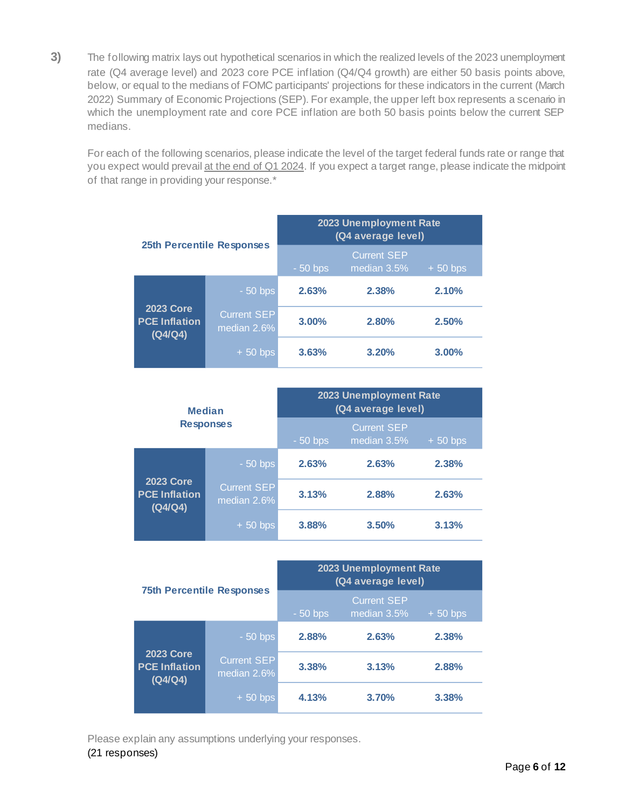<span id="page-5-0"></span>**3)** The following matrix lays out hypothetical scenarios in which the realized levels of the 2023 unemployment rate (Q4 average level) and 2023 core PCE inflation (Q4/Q4 growth) are either 50 basis points above, below, or equal to the medians of FOMC participants' projections for these indicators in the current (March 2022) Summary of Economic Projections (SEP). For example, the upper left box represents a scenario in which the unemployment rate and core PCE inflation are both 50 basis points below the current SEP medians.

For each of the following scenarios, please indicate the level of the target federal funds rate or range that you expect would prevail at the end of Q1 2024. If you expect a target range, please indicate the midpoint of that range in providing your response.\*

|                                                     |                                   | 2023 Unemployment Rate<br>(Q4 average level) |                                   |           |  |  |
|-----------------------------------------------------|-----------------------------------|----------------------------------------------|-----------------------------------|-----------|--|--|
|                                                     | <b>25th Percentile Responses</b>  | $-50$ bps                                    | <b>Current SEP</b><br>median 3.5% | $+50$ bps |  |  |
|                                                     | $-50$ bps                         | 2.63%                                        | 2.38%                             | 2.10%     |  |  |
| <b>2023 Core</b><br><b>PCE Inflation</b><br>(Q4/Q4) | <b>Current SEP</b><br>median 2.6% | 3.00%                                        | 2.80%                             | 2.50%     |  |  |
|                                                     | $+50$ bps                         | 3.63%                                        | 3.20%                             | 3.00%     |  |  |

|                                                     | <b>Median</b>                     | 2023 Unemployment Rate<br>(Q4 average level) |                                   |           |  |  |
|-----------------------------------------------------|-----------------------------------|----------------------------------------------|-----------------------------------|-----------|--|--|
|                                                     | <b>Responses</b>                  | $-50$ bps                                    | <b>Current SEP</b><br>median 3.5% | $+50$ bps |  |  |
|                                                     | $-50$ bps                         | 2.63%                                        | 2.63%                             | 2.38%     |  |  |
| <b>2023 Core</b><br><b>PCE Inflation</b><br>(Q4/Q4) | <b>Current SEP</b><br>median 2.6% | 3.13%                                        | 2.88%                             | 2.63%     |  |  |
|                                                     | $+50$ bps                         | 3.88%                                        | 3.50%                             | 3.13%     |  |  |

|                                                     |                                   | 2023 Unemployment Rate<br>(Q4 average level) |                                   |           |  |  |
|-----------------------------------------------------|-----------------------------------|----------------------------------------------|-----------------------------------|-----------|--|--|
|                                                     | <b>75th Percentile Responses</b>  | $-50$ bps                                    | <b>Current SEP</b><br>median 3.5% | $+50$ bps |  |  |
| <b>2023 Core</b><br><b>PCE Inflation</b><br>(Q4/Q4) | $-50$ bps                         | 2.88%                                        | 2.63%                             | 2.38%     |  |  |
|                                                     | <b>Current SEP</b><br>median 2.6% | 3.38%                                        | 3.13%                             | 2.88%     |  |  |
|                                                     | $+50$ bps                         | 4.13%                                        | 3.70%                             | 3.38%     |  |  |

Please explain any assumptions underlying your responses.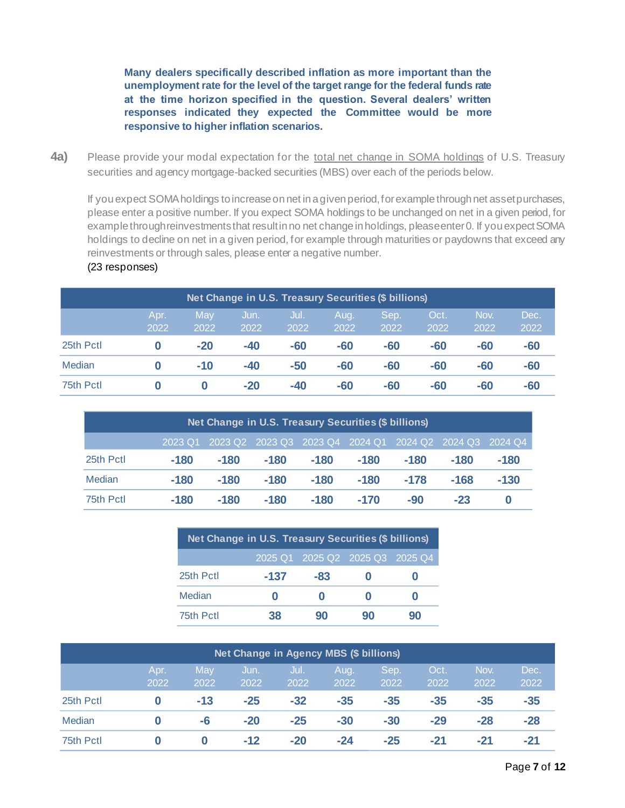**Many dealers specifically described inflation as more important than the unemployment rate for the level of the target range for the federal funds rate at the time horizon specified in the question. Several dealers' written responses indicated they expected the Committee would be more responsive to higher inflation scenarios.**

<span id="page-6-0"></span>**4a)** Please provide your modal expectation for the total net change in SOMA holdings of U.S. Treasury securities and agency mortgage-backed securities (MBS) over each of the periods below.

If you expect SOMA holdings to increase on net in a given period, for example through net asset purchases, please enter a positive number. If you expect SOMA holdings to be unchanged on net in a given period, for example through reinvestments that result in no net change in holdings, please enter 0. If you expect SOMA holdings to decline on net in a given period, for example through maturities or paydowns that exceed any reinvestments or through sales, please enter a negative number.

| Net Change in U.S. Treasury Securities (\$ billions) |              |             |              |              |              |              |              |              |              |  |  |
|------------------------------------------------------|--------------|-------------|--------------|--------------|--------------|--------------|--------------|--------------|--------------|--|--|
|                                                      | Apr.<br>2022 | May<br>2022 | Jun.<br>2022 | Jul.<br>2022 | Aug.<br>2022 | Sep.<br>2022 | Oct.<br>2022 | Nov.<br>2022 | Dec.<br>2022 |  |  |
| 25th Pctl                                            |              | $-20$       | $-40$        | $-60$        | -60          | $-60$        | -60          | $-60$        | -60          |  |  |
| Median                                               |              | $-10$       | $-40$        | $-50$        | -60          | $-60$        | -60          | $-60$        | -60          |  |  |
| 75th Pctl                                            |              |             | $-20$        | $-40$        | -60          | $-60$        | -60          | -60          | -60          |  |  |

### (23 responses)

| Net Change in U.S. Treasury Securities (\$ billions)               |        |        |        |        |        |        |        |        |  |  |
|--------------------------------------------------------------------|--------|--------|--------|--------|--------|--------|--------|--------|--|--|
| 2023 Q2 2023 Q3 2023 Q4 2024 Q1 2024 Q2 2024 Q3 2024 Q4<br>2023 Q1 |        |        |        |        |        |        |        |        |  |  |
| 25th Pctl                                                          | $-180$ | $-180$ | $-180$ | -180   | $-180$ | $-180$ | $-180$ | $-180$ |  |  |
| Median                                                             | $-180$ | $-180$ | $-180$ | $-180$ | $-180$ | $-178$ | $-168$ | $-130$ |  |  |
| 75th Pctl                                                          | -180   | -180   | -180   | $-180$ | $-170$ | -90    | $-23$  | 0      |  |  |

| Net Change in U.S. Treasury Securities (\$ billions) |        |                                 |    |    |  |  |  |  |  |  |
|------------------------------------------------------|--------|---------------------------------|----|----|--|--|--|--|--|--|
|                                                      |        | 2025 Q1 2025 Q2 2025 Q3 2025 Q4 |    |    |  |  |  |  |  |  |
| 25th Pctl                                            | $-137$ | -83                             |    |    |  |  |  |  |  |  |
| Median                                               |        |                                 |    |    |  |  |  |  |  |  |
| 75th Pctl                                            | 38     | 90                              | 90 | 90 |  |  |  |  |  |  |

| <b>Net Change in Agency MBS (\$ billions)</b> |      |       |       |       |       |       |       |       |       |  |  |
|-----------------------------------------------|------|-------|-------|-------|-------|-------|-------|-------|-------|--|--|
|                                               | Apr. | May   | Jun.  | Jul.  | Aug.  | Sep.  | Oct.  | Nov.  | Dec.  |  |  |
|                                               | 2022 | 2022  | 2022  | 2022  | 2022  | 2022  | 2022  | 2022  | 2022  |  |  |
| 25th Pctl                                     |      | $-13$ | $-25$ | $-32$ | $-35$ | $-35$ | $-35$ | $-35$ | $-35$ |  |  |
| Median                                        |      | -6    | $-20$ | $-25$ | $-30$ | $-30$ | $-29$ | $-28$ | $-28$ |  |  |
| 75th Pctl                                     |      |       | $-12$ | $-20$ | -24   | $-25$ | -21   | $-21$ | $-21$ |  |  |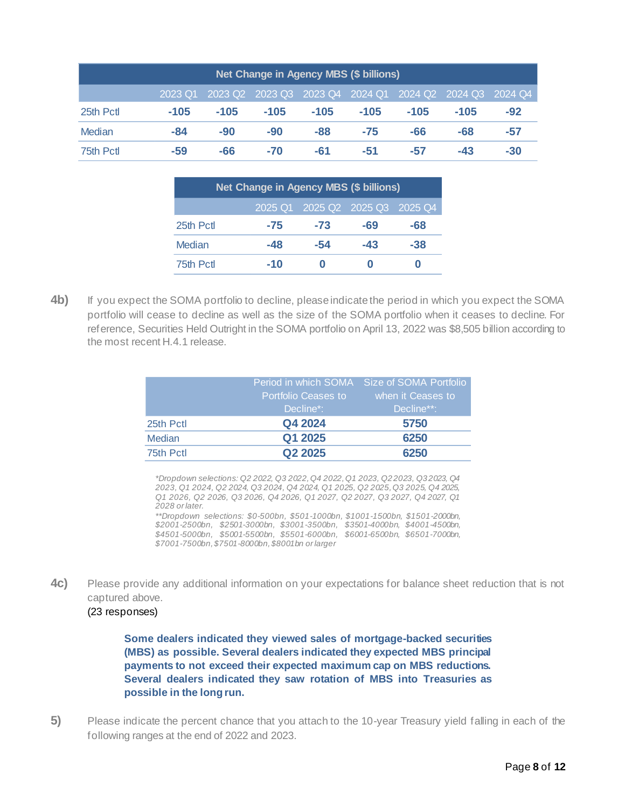| Net Change in Agency MBS (\$ billions) |                                                                       |        |        |        |        |        |        |       |  |  |  |
|----------------------------------------|-----------------------------------------------------------------------|--------|--------|--------|--------|--------|--------|-------|--|--|--|
|                                        | 2023 Q2 2023 Q3 2023 Q4 2024 Q1<br>2024 Q2 2024 Q3 2024 Q4<br>2023 Q1 |        |        |        |        |        |        |       |  |  |  |
| 25th Pctl                              | $-105$                                                                | $-105$ | $-105$ | $-105$ | $-105$ | $-105$ | $-105$ | $-92$ |  |  |  |
| Median                                 | -84                                                                   | $-90$  | $-90$  | -88    | $-75$  | -66    | -68    | -57   |  |  |  |
| 75th Pctl                              | -59                                                                   | -66    | $-70$  | $-61$  | -51    | -57    | $-43$  | $-30$ |  |  |  |

| Net Change in Agency MBS (\$ billions) |       |       |       |     |  |  |  |  |  |  |
|----------------------------------------|-------|-------|-------|-----|--|--|--|--|--|--|
| 2025 Q1 2025 Q2 2025 Q3 2025 Q4        |       |       |       |     |  |  |  |  |  |  |
| 25th Pctl                              | $-75$ | $-73$ | -69   | -68 |  |  |  |  |  |  |
| Median                                 | $-48$ | $-54$ | $-43$ | -38 |  |  |  |  |  |  |
| 75th Pctl                              | $-10$ |       |       |     |  |  |  |  |  |  |

**4b)** If you expect the SOMA portfolio to decline, please indicate the period in which you expect the SOMA portfolio will cease to decline as well as the size of the SOMA portfolio when it ceases to decline. For reference, Securities Held Outright in the SOMA portfolio on April 13, 2022 was \$8,505 billion according to the most recent H.4.1 release.

|               |                            | Period in which SOMA Size of SOMA Portfolio |
|---------------|----------------------------|---------------------------------------------|
|               | <b>Portfolio Ceases to</b> | when it Ceases to                           |
|               | Decline*:                  | Decline**:                                  |
| 25th Pctl     | Q4 2024                    | 5750                                        |
| <b>Median</b> | Q1 2025                    | 6250                                        |
| 75th Pctl     | Q <sub>2</sub> 2025        | 6250                                        |

*\*Dropdown selections: Q2 2022, Q3 2022, Q4 2022, Q1 2023, Q2 2023, Q3 2023, Q4 2023, Q1 2024, Q2 2024, Q3 2024, Q4 2024, Q1 2025, Q2 2025, Q3 2025, Q4 2025, Q1 2026, Q2 2026, Q3 2026, Q4 2026, Q1 2027, Q2 2027, Q3 2027, Q4 2027, Q1 2028 or later.*

*\*\*Dropdown selections: \$0-500bn, \$501-1000bn, \$1001-1500bn, \$1501-2000bn, \$2001-2500bn, \$2501-3000bn, \$3001-3500bn, \$3501-4000bn, \$4001-4500bn, \$4501-5000bn, \$5001-5500bn, \$5501-6000bn, \$6001-6500bn, \$6501-7000bn, \$7001-7500bn, \$7501-8000bn, \$8001bn or larger*

**4c)** Please provide any additional information on your expectations for balance sheet reduction that is not captured above.

## (23 responses)

**Some dealers indicated they viewed sales of mortgage-backed securities (MBS) as possible. Several dealers indicated they expected MBS principal payments to not exceed their expected maximum cap on MBS reductions. Several dealers indicated they saw rotation of MBS into Treasuries as possible in the long run.** 

<span id="page-7-0"></span>**5)** Please indicate the percent chance that you attach to the 10-year Treasury yield falling in each of the following ranges at the end of 2022 and 2023.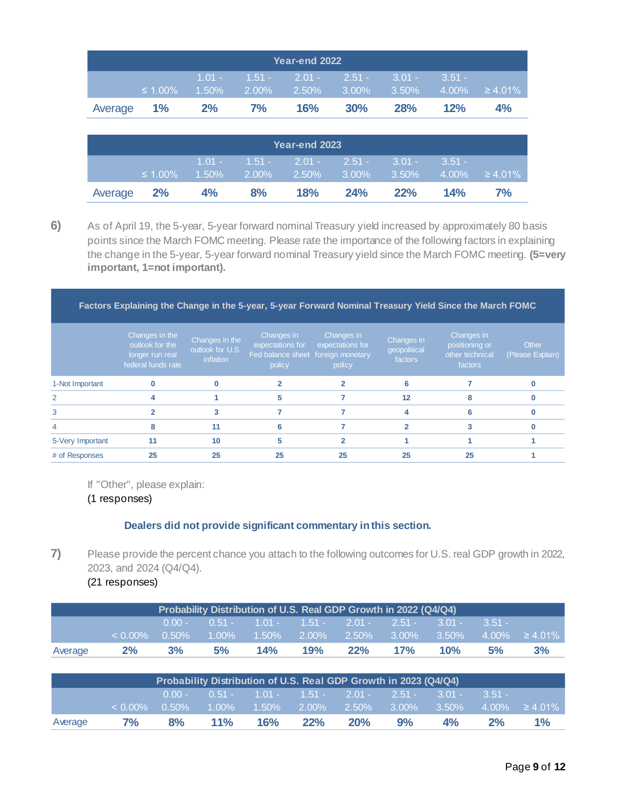| Year-end 2022 |               |    |       |                                                                             |     |     |          |                     |
|---------------|---------------|----|-------|-----------------------------------------------------------------------------|-----|-----|----------|---------------------|
|               | $\leq 1.00\%$ |    |       | $1.01 - 1.51 - 2.01 - 2.51 - 3.01 -$<br>$1.50\%$ 2.00% 2.50% 3.00% 3.50% 3. |     |     | $3.51 -$ | $4.00\% \ge 4.01\%$ |
| Average 1%    |               | 2% | $7\%$ | 16%                                                                         | 30% | 28% | 12%      | $4\%$               |

| Year-end 2023 |                                                                                                          |       |    |     |             |  |  |    |  |
|---------------|----------------------------------------------------------------------------------------------------------|-------|----|-----|-------------|--|--|----|--|
|               | $1.01 - 1.51 - 2.01 - 2.51 - 3.01 - 3.51 -$<br>$\leq 1.00\%$ 1.50% 2.00% 2.50% 3.00% 3.50% 4.00% ≥ 4.01% |       |    |     |             |  |  |    |  |
| Average 2%    |                                                                                                          | $4\%$ | 8% | 18% | 24% 22% 14% |  |  | 7% |  |

<span id="page-8-0"></span>**6)** As of April 19, the 5-year, 5-year forward nominal Treasury yield increased by approximately 80 basis points since the March FOMC meeting. Please rate the importance of the following factors in explaining the change in the 5-year, 5-year forward nominal Treasury yield since the March FOMC meeting. **(5=very important, 1=not important).**

**Factors Explaining the Change in the 5-year, 5-year Forward Nominal Treasury Yield Since the March FOMC**

|                  | Changes in the<br>outlook for the<br>longer run real<br>federal funds rate | Changes in the<br>outlook for U.S.<br>inflation | Changes in<br>expectations for<br>Fed balance sheet foreign monetary<br>policy | Changes in<br>expectations for<br>policy | Changes in<br>geopolitical<br>factors | Changes in<br>positioning or<br>other technical<br>factors | Other<br>(Please Explain) |
|------------------|----------------------------------------------------------------------------|-------------------------------------------------|--------------------------------------------------------------------------------|------------------------------------------|---------------------------------------|------------------------------------------------------------|---------------------------|
| 1-Not Important  |                                                                            |                                                 |                                                                                |                                          |                                       |                                                            |                           |
| $\mathcal{P}$    |                                                                            |                                                 |                                                                                |                                          | 12                                    |                                                            |                           |
| 3                |                                                                            |                                                 |                                                                                |                                          |                                       |                                                            |                           |
|                  |                                                                            | 11                                              |                                                                                |                                          |                                       |                                                            |                           |
| 5-Very Important | 11                                                                         | 10                                              |                                                                                |                                          |                                       |                                                            |                           |
| # of Responses   | 25                                                                         | 25                                              | 25                                                                             | 25                                       | 25                                    | 25                                                         |                           |

If "Other", please explain:

(1 responses)

### **Dealers did not provide significant commentary in this section.**

**7)** Please provide the percent chance you attach to the following outcomes for U.S. real GDP growth in 2022, 2023, and 2024 (Q4/Q4).

<span id="page-8-1"></span>(21 responses)

|         |            |          |          |          |          | Probability Distribution of U.S. Real GDP Growth in 2022 (Q4/Q4) |          |          |          |               |
|---------|------------|----------|----------|----------|----------|------------------------------------------------------------------|----------|----------|----------|---------------|
|         |            | $0.00 -$ | $0.51 -$ | $1.01 -$ | $1.51 -$ | $2.01 -$                                                         | $2.51 -$ | $3.01 -$ | $3.51 -$ |               |
|         | $< 0.00\%$ | 0.50%    | 1.00%    | 1.50%    | 2.00%    | 2.50%                                                            | $3.00\%$ | 3.50%    | 4.00%    | $\geq 4.01\%$ |
| Average | 2%         | 3%       | 5%       | 14%      | 19%      | 22%                                                              | 17%      | 10%      | 5%       | 3%            |
|         |            |          |          |          |          |                                                                  |          |          |          |               |
|         |            |          |          |          |          | Probability Distribution of U.S. Real GDP Growth in 2023 (Q4/Q4) |          |          |          |               |
|         |            | $0.00 -$ | $0.51 -$ | $1.01 -$ | $1.51 -$ | $2.01 -$                                                         | $2.51 -$ | $3.01 -$ | $3.51 -$ |               |
|         | $< 0.00\%$ | 0.50%    | 1.00%    | 1.50%    | $2.00\%$ | 2.50%                                                            | $3.00\%$ | 3.50%    | 4.00%    | $\geq 4.01\%$ |
| Average | 7%         | 8%       | 11%      | 16%      | 22%      | 20%                                                              | 9%       | 4%       | 2%       | 1%            |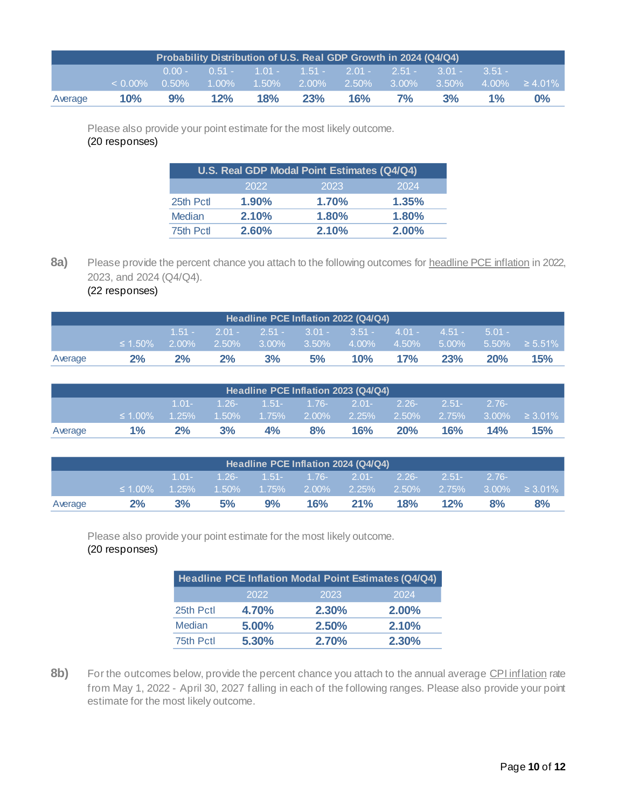|         | Probability Distribution of U.S. Real GDP Growth in 2024 (Q4/Q4) |                      |     |     |     |                                                                                             |    |          |          |                     |  |
|---------|------------------------------------------------------------------|----------------------|-----|-----|-----|---------------------------------------------------------------------------------------------|----|----------|----------|---------------------|--|
|         | $< 0.00\%$                                                       | $0.00 -$<br>$0.50\%$ |     |     |     | $0.51 - 1.01 - 1.51 - 2.01 - 2.51 - 3.01 -$<br>$1.00\%$ $1.50\%$ $2.00\%$ $2.50\%$ $3.00\%$ |    | $3.50\%$ | $3.51 -$ | $4.00\% \ge 4.01\%$ |  |
| Average | 10%                                                              | 9%                   | 12% | 18% | 23% | 16%                                                                                         | 7% | 3%       | $1\%$    | $0\%$               |  |

Please also provide your point estimate for the most likely outcome. (20 responses)

|               | U.S. Real GDP Modal Point Estimates (Q4/Q4) |       |          |  |  |  |  |  |  |
|---------------|---------------------------------------------|-------|----------|--|--|--|--|--|--|
|               | 2022                                        | 2023  | 2024     |  |  |  |  |  |  |
| 25th Pctl     | 1.90%                                       | 1.70% | 1.35%    |  |  |  |  |  |  |
| <b>Median</b> | 2.10%                                       | 1.80% | 1.80%    |  |  |  |  |  |  |
| 75th Pctl     | 2.60%                                       | 2.10% | $2.00\%$ |  |  |  |  |  |  |

8a) Please provide the percent chance you attach to the following outcomes for **headline PCE** inflation in 2022, 2023, and 2024 (Q4/Q4).

<span id="page-9-0"></span>(22 responses)

|         | Headline PCE Inflation 2022 (Q4/Q4) |          |          |          |                                      |          |       |          |           |                     |
|---------|-------------------------------------|----------|----------|----------|--------------------------------------|----------|-------|----------|-----------|---------------------|
|         |                                     | $1.51 -$ |          |          | $2.01 - 2.51 - 3.01 - 3.51 - 4.01 -$ |          |       | $4.51 -$ | $-5.01 -$ |                     |
|         | $\leq 1.50\%$                       | $2.00\%$ | $2.50\%$ | $3.00\%$ | $3.50\%$                             | $4.00\%$ | 4.50% | $5.00\%$ |           | $5.50\% \ge 5.51\%$ |
| Average | 2%                                  | 2%       | 2%       | 3%       | 5%                                   | $10\%$   | 17%   | 23%      | 20%       | 15%                 |
|         |                                     |          |          |          |                                      |          |       |          |           |                     |

|         | Headline PCE Inflation 2023 (Q4/Q4) |          |          |           |                 |          |          |          |         |                      |
|---------|-------------------------------------|----------|----------|-----------|-----------------|----------|----------|----------|---------|----------------------|
|         |                                     | $1.01 -$ | $-1.26-$ |           | $1.51 - 1.76$ - | $2.01 -$ | $2.26 -$ | $2.51 -$ | $2.76-$ |                      |
|         | $\leq 1.00\%$                       | $1.25\%$ | $1.50\%$ | $-1.75\%$ | $2.00\%$        | $2.25\%$ | 2.50%    | 2.75%    |         | $3.00\% \geq 3.01\%$ |
| Average | $1\%$                               | 2%       | 3%       | 4%        | 8%              | 16%      | 20%      | 16%      | 14%     | <b>15%</b>           |
|         |                                     |          |          |           |                 |          |          |          |         |                      |

|    |               |                      |                         |           |                           |                       |                                                          |                   | $\geq 3.01\%$       |
|----|---------------|----------------------|-------------------------|-----------|---------------------------|-----------------------|----------------------------------------------------------|-------------------|---------------------|
| 2% | 3%            | 5%                   | 9%                      | 16%       | 21%                       | 18%                   | 12%                                                      | 8%                | 8%                  |
|    | $\leq 1.00\%$ | $1.01 -$<br>$1.25\%$ | $-1.26 - 7$<br>$1.50\%$ | $-1.75\%$ | $1.51 - 1.76$<br>$2.00\%$ | $2.01 -$<br>$-2.25\%$ | Headline PCE Inflation 2024 (Q4/Q4)<br>$2.26 -$<br>2.50% | $2.51 -$<br>2.75% | $2.76-$<br>$3.00\%$ |

Please also provide your point estimate for the most likely outcome. (20 responses)

|               |       | Headline PCE Inflation Modal Point Estimates (Q4/Q4) |       |
|---------------|-------|------------------------------------------------------|-------|
|               | 2022  | 2023                                                 | 2024  |
| 25th Pctl     | 4.70% | 2.30%                                                | 2.00% |
| <b>Median</b> | 5.00% | 2.50%                                                | 2.10% |
| 75th Pctl     | 5.30% | <b>2.70%</b>                                         | 2.30% |

8b) For the outcomes below, provide the percent chance you attach to the annual average CPI inflation rate from May 1, 2022 - April 30, 2027 falling in each of the following ranges. Please also provide your point estimate for the most likely outcome.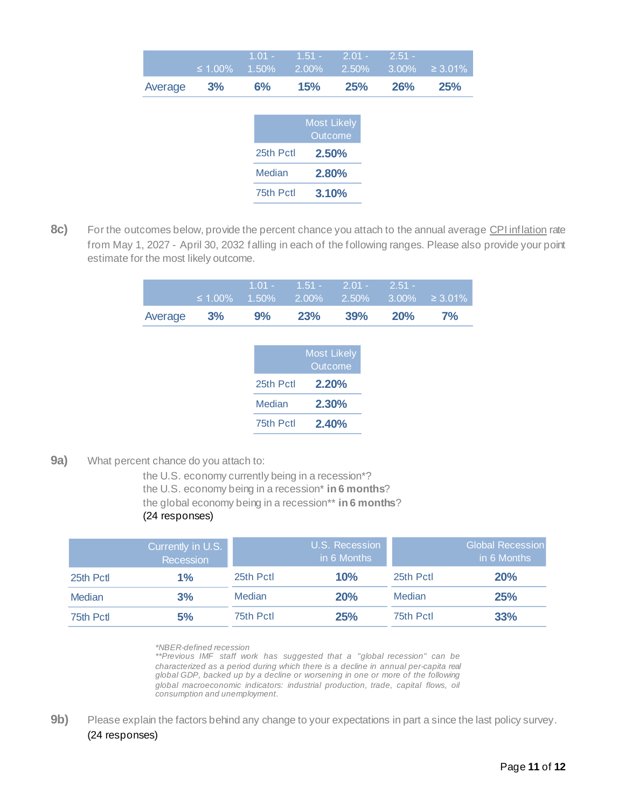|         |               | $1.01 -$  | $1.51 -$   | $2.01 -$           | $2.51 -$ |               |
|---------|---------------|-----------|------------|--------------------|----------|---------------|
|         | $\leq 1.00\%$ | 1.50%     | $2.00\%$   | 2.50%              | 3.00%    | $\geq 3.01\%$ |
| Average | 3%            | 6%        | <b>15%</b> | <b>25%</b>         | 26%      | 25%           |
|         |               |           |            |                    |          |               |
|         |               |           |            | <b>Most Likely</b> |          |               |
|         |               |           |            | Outcome            |          |               |
|         |               | 25th Pctl |            | 2.50%              |          |               |
|         |               | Median    |            | 2.80%              |          |               |
|         |               | 75th Pctl |            | 3.10%              |          |               |

8c) For the outcomes below, provide the percent chance you attach to the annual average CPI inflation rate from May 1, 2027 - April 30, 2032 falling in each of the following ranges. Please also provide your point estimate for the most likely outcome.

|            |       | $1.01 - 1.51 - 2.01 - 2.51 -$ |     |     | $\leq 1.00\%$ 1.50% 2.00% 2.50% 3.00% ≥3.01% |
|------------|-------|-------------------------------|-----|-----|----------------------------------------------|
| Average 3% | $9\%$ | <b>23%</b>                    | 39% | 20% | $7\%$                                        |

|           | <b>Most Likely</b><br>Outcome |
|-----------|-------------------------------|
| 25th Pctl | 2.20%                         |
| Median    | 2.30%                         |
| 75th Pctl | 2,40%                         |

<span id="page-10-0"></span>**9a)** What percent chance do you attach to:

the U.S. economy currently being in a recession\*? the U.S. economy being in a recession\* **in 6 months**? the global economy being in a recession\*\* **in 6 months**? (24 responses)

|           | Currently in U.S.<br>Recession |               | U.S. Recession<br>in 6 Months |           | <b>Global Recession</b><br>in 6 Months |
|-----------|--------------------------------|---------------|-------------------------------|-----------|----------------------------------------|
| 25th Pctl | $1\%$                          | 25th Pctl     | 10%                           | 25th Pctl | 20%                                    |
| Median    | 3%                             | <b>Median</b> | 20%                           | Median    | 25%                                    |
| 75th Pctl | 5%                             | 75th Pctl     | 25%                           | 75th Pctl | 33%                                    |

*\*NBER-defined recession*

*\*\*Previous IMF staff work has suggested that a "global recession" can be characterized as a period during which there is a decline in annual per-capita real global GDP, backed up by a decline or worsening in one or more of the following global macroeconomic indicators: industrial production, trade, capital flows, oil consumption and unemployment.*

**9b)** Please explain the factors behind any change to your expectations in part a since the last policy survey. (24 responses)